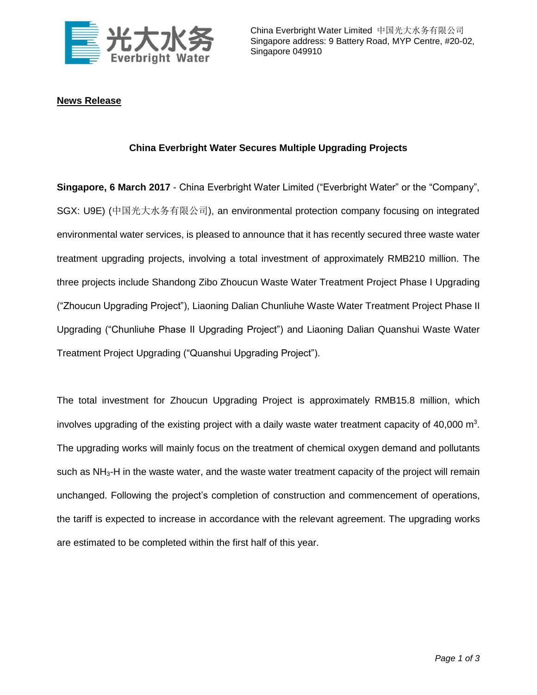

## **News Release**

## **China Everbright Water Secures Multiple Upgrading Projects**

**Singapore, 6 March 2017** - China Everbright Water Limited ("Everbright Water" or the "Company", SGX: U9E) (中国光大水务有限公司), an environmental protection company focusing on integrated environmental water services, is pleased to announce that it has recently secured three waste water treatment upgrading projects, involving a total investment of approximately RMB210 million. The three projects include Shandong Zibo Zhoucun Waste Water Treatment Project Phase I Upgrading ("Zhoucun Upgrading Project"), Liaoning Dalian Chunliuhe Waste Water Treatment Project Phase II Upgrading ("Chunliuhe Phase II Upgrading Project") and Liaoning Dalian Quanshui Waste Water Treatment Project Upgrading ("Quanshui Upgrading Project").

The total investment for Zhoucun Upgrading Project is approximately RMB15.8 million, which involves upgrading of the existing project with a daily waste water treatment capacity of 40,000  $\text{m}^3$ . The upgrading works will mainly focus on the treatment of chemical oxygen demand and pollutants such as  $NH<sub>3</sub>$ -H in the waste water, and the waste water treatment capacity of the project will remain unchanged. Following the project's completion of construction and commencement of operations, the tariff is expected to increase in accordance with the relevant agreement. The upgrading works are estimated to be completed within the first half of this year.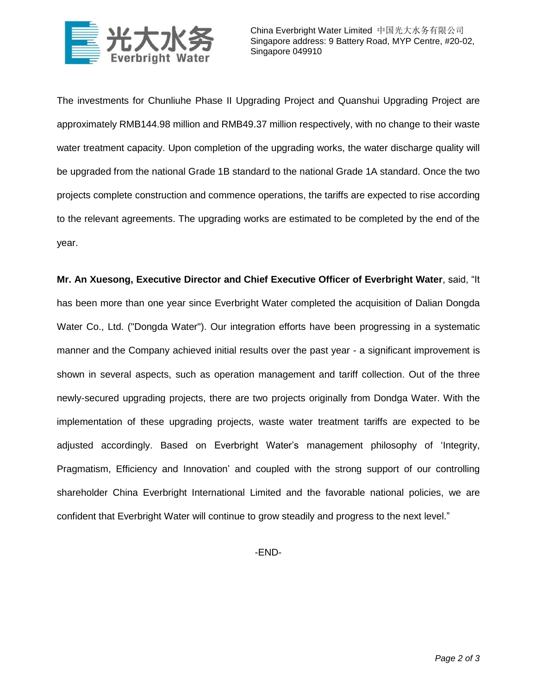

The investments for Chunliuhe Phase II Upgrading Project and Quanshui Upgrading Project are approximately RMB144.98 million and RMB49.37 million respectively, with no change to their waste water treatment capacity. Upon completion of the upgrading works, the water discharge quality will be upgraded from the national Grade 1B standard to the national Grade 1A standard. Once the two projects complete construction and commence operations, the tariffs are expected to rise according to the relevant agreements. The upgrading works are estimated to be completed by the end of the year.

**Mr. An Xuesong, Executive Director and Chief Executive Officer of Everbright Water**, said, "It has been more than one year since Everbright Water completed the acquisition of Dalian Dongda Water Co., Ltd. ("Dongda Water"). Our integration efforts have been progressing in a systematic manner and the Company achieved initial results over the past year - a significant improvement is shown in several aspects, such as operation management and tariff collection. Out of the three newly-secured upgrading projects, there are two projects originally from Dondga Water. With the implementation of these upgrading projects, waste water treatment tariffs are expected to be adjusted accordingly. Based on Everbright Water's management philosophy of 'Integrity, Pragmatism, Efficiency and Innovation' and coupled with the strong support of our controlling shareholder China Everbright International Limited and the favorable national policies, we are confident that Everbright Water will continue to grow steadily and progress to the next level."

-END-